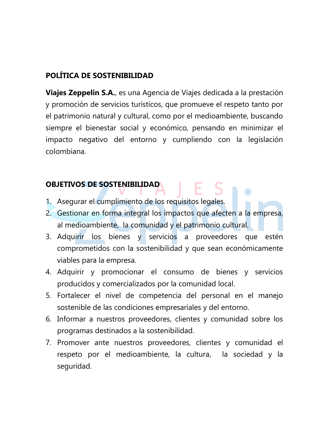## **POLÍTICA DE SOSTENIBILIDAD**

**Viajes Zeppelin S.A.**, es una Agencia de Viajes dedicada a la prestación y promoción de servicios turísticos, que promueve el respeto tanto por el patrimonio natural y cultural, como por el medioambiente, buscando siempre el bienestar social y económico, pensando en minimizar el impacto negativo del entorno y cumpliendo con la legislación colombiana.

#### **OBJETIVOS DE SOSTENIBILIDAD**

- 1. Asegurar el cumplimiento de los requisitos legales.
- 2. Gestionar en forma integral los impactos que afecten a la empresa, al medioambiente, la comunidad y el patrimonio cultural.
- 3. Adquirir los bienes y servicios a proveedores que estén comprometidos con la sostenibilidad y que sean económicamente viables para la empresa.
- 4. Adquirir y promocionar el consumo de bienes y servicios producidos y comercializados por la comunidad local.
- 5. Fortalecer el nivel de competencia del personal en el manejo sostenible de las condiciones empresariales y del entorno.
- 6. Informar a nuestros proveedores, clientes y comunidad sobre los programas destinados a la sostenibilidad.
- 7. Promover ante nuestros proveedores, clientes y comunidad el respeto por el medioambiente, la cultura, la sociedad y la seguridad.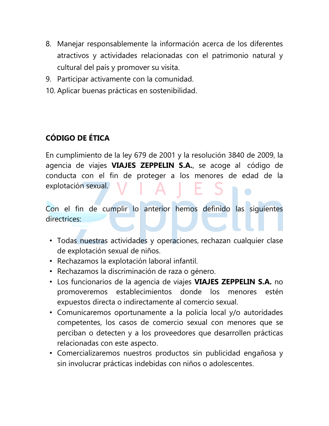- 8. Manejar responsablemente la información acerca de los diferentes atractivos y actividades relacionadas con el patrimonio natural y cultural del país y promover su visita.
- 9. Participar activamente con la comunidad.
- 10. Aplicar buenas prácticas en sostenibilidad.

# **CÓDIGO DE ÉTICA**

En cumplimiento de la ley 679 de 2001 y la resolución 3840 de 2009, la agencia de viajes **VIAJES ZEPPELIN S.A.**, se acoge al código de conducta con el fin de proteger a los menores de edad de la explotación sexual.

Con el fin de cumplir lo anterior hemos definido las siguientes directrices:

- Todas nuestras actividades y operaciones, rechazan cualquier clase de explotación sexual de niños.
- Rechazamos la explotación laboral infantil.
- Rechazamos la discriminación de raza o género.
- Los funcionarios de la agencia de viajes **VIAJES ZEPPELIN S.A.** no promoveremos establecimientos donde los menores estén expuestos directa o indirectamente al comercio sexual.
- Comunicaremos oportunamente a la policía local y/o autoridades competentes, los casos de comercio sexual con menores que se perciban o detecten y a los proveedores que desarrollen prácticas relacionadas con este aspecto.
- Comercializaremos nuestros productos sin publicidad engañosa y sin involucrar prácticas indebidas con niños o adolescentes.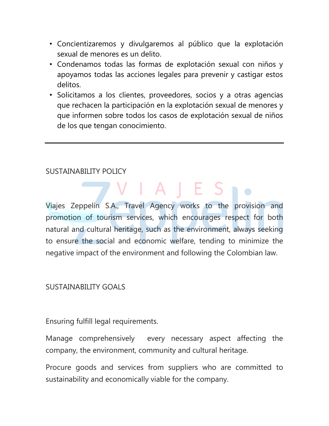- Concientizaremos y divulgaremos al público que la explotación sexual de menores es un delito.
- Condenamos todas las formas de explotación sexual con niños y apoyamos todas las acciones legales para prevenir y castigar estos delitos.
- Solicitamos a los clientes, proveedores, socios y a otras agencias que rechacen la participación en la explotación sexual de menores y que informen sobre todos los casos de explotación sexual de niños de los que tengan conocimiento.

#### SUSTAINABILITY POLICY

Viajes Zeppelin S.A., Travel Agency works to the provision and promotion of tourism services, which encourages respect for both natural and cultural heritage, such as the environment, always seeking to ensure the social and economic welfare, tending to minimize the negative impact of the environment and following the Colombian law.

VIAIES.

#### SUSTAINABILITY GOALS

Ensuring fulfill legal requirements.

Manage comprehensively every necessary aspect affecting the company, the environment, community and cultural heritage.

Procure goods and services from suppliers who are committed to sustainability and economically viable for the company.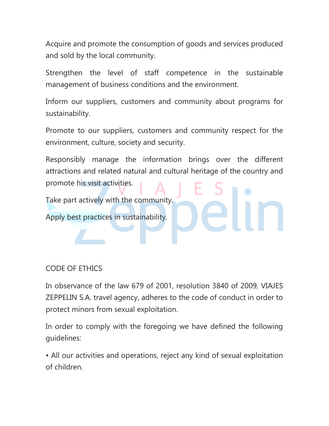Acquire and promote the consumption of goods and services produced and sold by the local community.

Strengthen the level of staff competence in the sustainable management of business conditions and the environment.

Inform our suppliers, customers and community about programs for sustainability.

Promote to our suppliers, customers and community respect for the environment, culture, society and security.

Responsibly manage the information brings over the different attractions and related natural and cultural heritage of the country and promote his visit activities.

Take part actively with the community.

Apply best practices in sustainability.

### CODE OF ETHICS

In observance of the law 679 of 2001, resolution 3840 of 2009, VIAJES ZEPPELIN S.A. travel agency, adheres to the code of conduct in order to protect minors from sexual exploitation.

In order to comply with the foregoing we have defined the following guidelines:

• All our activities and operations, reject any kind of sexual exploitation of children.